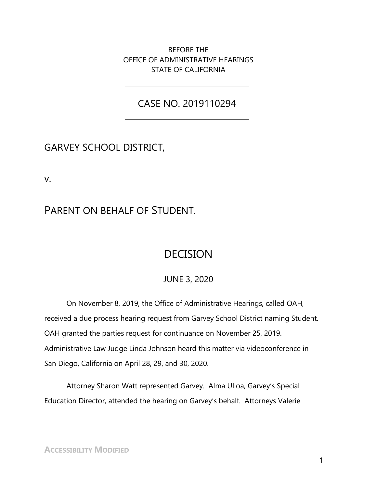BEFORE THE OFFICE OF ADMINISTRATIVE HEARINGS STATE OF CALIFORNIA

## CASE NO. 2019110294

# GARVEY SCHOOL DISTRICT,

v.

# PARENT ON BEHALF OF STUDENT.

# DECISION

JUNE 3, 2020

On November 8, 2019, the Office of Administrative Hearings, called OAH, received a due process hearing request from Garvey School District naming Student. OAH granted the parties request for continuance on November 25, 2019. Administrative Law Judge Linda Johnson heard this matter via videoconference in San Diego, California on April 28, 29, and 30, 2020.

Attorney Sharon Watt represented Garvey. Alma Ulloa, Garvey's Special Education Director, attended the hearing on Garvey's behalf. Attorneys Valerie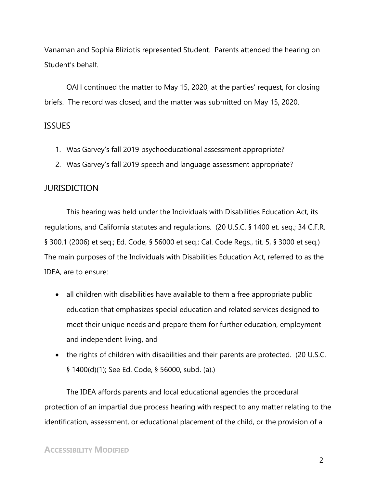Vanaman and Sophia Bliziotis represented Student. Parents attended the hearing on Student's behalf.

OAH continued the matter to May 15, 2020, at the parties' request, for closing briefs. The record was closed, and the matter was submitted on May 15, 2020.

#### **ISSUES**

- 1. Was Garvey's fall 2019 psychoeducational assessment appropriate?
- 2. Was Garvey's fall 2019 speech and language assessment appropriate?

#### **JURISDICTION**

This hearing was held under the Individuals with Disabilities Education Act, its regulations, and California statutes and regulations. (20 U.S.C. § 1400 et. seq.; 34 C.F.R. § 300.1 (2006) et seq.; Ed. Code, § 56000 et seq.; Cal. Code Regs., tit. 5, § 3000 et seq.) The main purposes of the Individuals with Disabilities Education Act, referred to as the IDEA, are to ensure:

- all children with disabilities have available to them a free appropriate public education that emphasizes special education and related services designed to meet their unique needs and prepare them for further education, employment and independent living, and
- the rights of children with disabilities and their parents are protected. (20 U.S.C. § 1400(d)(1); See Ed. Code, § 56000, subd. (a).)

The IDEA affords parents and local educational agencies the procedural protection of an impartial due process hearing with respect to any matter relating to the identification, assessment, or educational placement of the child, or the provision of a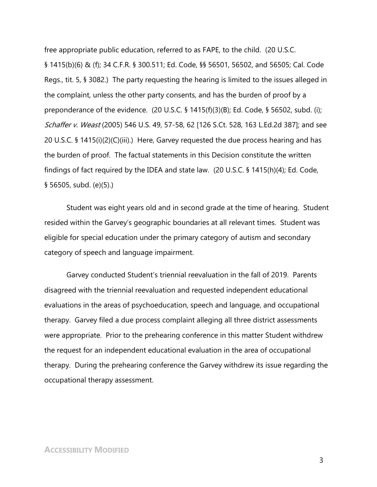free appropriate public education, referred to as FAPE, to the child. (20 U.S.C. § 1415(b)(6) & (f); 34 C.F.R. § 300.511; Ed. Code, §§ 56501, 56502, and 56505; Cal. Code Regs., tit. 5, § 3082.) The party requesting the hearing is limited to the issues alleged in the complaint, unless the other party consents, and has the burden of proof by a preponderance of the evidence. (20 U.S.C. § 1415(f)(3)(B); Ed. Code, § 56502, subd. (i); Schaffer v. Weast (2005) 546 U.S. 49, 57-58, 62 [126 S.Ct. 528, 163 L.Ed.2d 387]; and see 20 U.S.C. § 1415(i)(2)(C)(iii).) Here, Garvey requested the due process hearing and has the burden of proof. The factual statements in this Decision constitute the written findings of fact required by the IDEA and state law. (20 U.S.C. § 1415(h)(4); Ed. Code, § 56505, subd. (e)(5).)

Student was eight years old and in second grade at the time of hearing. Student resided within the Garvey's geographic boundaries at all relevant times. Student was eligible for special education under the primary category of autism and secondary category of speech and language impairment.

Garvey conducted Student's triennial reevaluation in the fall of 2019. Parents disagreed with the triennial reevaluation and requested independent educational evaluations in the areas of psychoeducation, speech and language, and occupational therapy. Garvey filed a due process complaint alleging all three district assessments were appropriate. Prior to the prehearing conference in this matter Student withdrew the request for an independent educational evaluation in the area of occupational therapy. During the prehearing conference the Garvey withdrew its issue regarding the occupational therapy assessment.

#### **ACCESSIBILITY MODIFIED**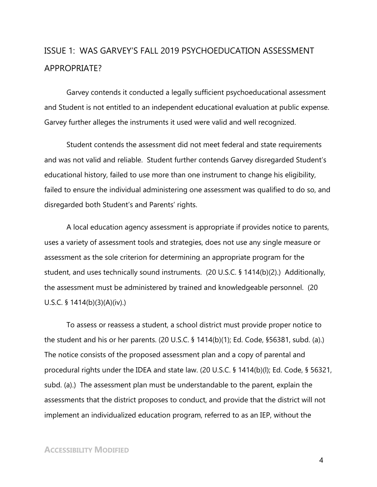# ISSUE 1: WAS GARVEY'S FALL 2019 PSYCHOEDUCATION ASSESSMENT APPROPRIATE?

Garvey contends it conducted a legally sufficient psychoeducational assessment and Student is not entitled to an independent educational evaluation at public expense. Garvey further alleges the instruments it used were valid and well recognized.

Student contends the assessment did not meet federal and state requirements and was not valid and reliable. Student further contends Garvey disregarded Student's educational history, failed to use more than one instrument to change his eligibility, failed to ensure the individual administering one assessment was qualified to do so, and disregarded both Student's and Parents' rights.

A local education agency assessment is appropriate if provides notice to parents, uses a variety of assessment tools and strategies, does not use any single measure or assessment as the sole criterion for determining an appropriate program for the student, and uses technically sound instruments. (20 U.S.C. § 1414(b)(2).) Additionally, the assessment must be administered by trained and knowledgeable personnel. (20 U.S.C. § 1414(b)(3)(A)(iv).)

To assess or reassess a student, a school district must provide proper notice to the student and his or her parents. (20 U.S.C. § 1414(b)(1); Ed. Code, §56381, subd. (a).) The notice consists of the proposed assessment plan and a copy of parental and procedural rights under the IDEA and state law. (20 U.S.C. § 1414(b)(l); Ed. Code, § 56321, subd. (a).) The assessment plan must be understandable to the parent, explain the assessments that the district proposes to conduct, and provide that the district will not implement an individualized education program, referred to as an IEP, without the

#### **ACCESSIBILITY MODIFIED**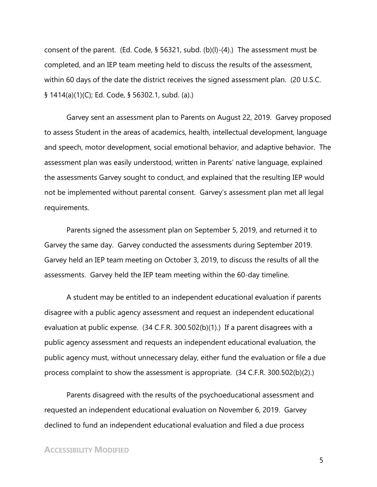consent of the parent. (Ed. Code, § 56321, subd. (b)(l)-(4).) The assessment must be completed, and an IEP team meeting held to discuss the results of the assessment, within 60 days of the date the district receives the signed assessment plan. (20 U.S.C. § 1414(a)(1)(C); Ed. Code, § 56302.1, subd. (a).)

Garvey sent an assessment plan to Parents on August 22, 2019. Garvey proposed to assess Student in the areas of academics, health, intellectual development, language and speech, motor development, social emotional behavior, and adaptive behavior. The assessment plan was easily understood, written in Parents' native language, explained the assessments Garvey sought to conduct, and explained that the resulting IEP would not be implemented without parental consent. Garvey's assessment plan met all legal requirements.

Parents signed the assessment plan on September 5, 2019, and returned it to Garvey the same day. Garvey conducted the assessments during September 2019. Garvey held an IEP team meeting on October 3, 2019, to discuss the results of all the assessments. Garvey held the IEP team meeting within the 60-day timeline.

A student may be entitled to an independent educational evaluation if parents disagree with a public agency assessment and request an independent educational evaluation at public expense. (34 C.F.R. 300.502(b)(1).) If a parent disagrees with a public agency assessment and requests an independent educational evaluation, the public agency must, without unnecessary delay, either fund the evaluation or file a due process complaint to show the assessment is appropriate. (34 C.F.R. 300.502(b)(2).)

Parents disagreed with the results of the psychoeducational assessment and requested an independent educational evaluation on November 6, 2019. Garvey declined to fund an independent educational evaluation and filed a due process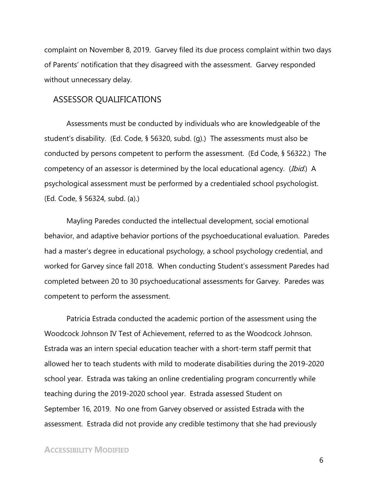complaint on November 8, 2019. Garvey filed its due process complaint within two days of Parents' notification that they disagreed with the assessment. Garvey responded without unnecessary delay.

## ASSESSOR QUALIFICATIONS

Assessments must be conducted by individuals who are knowledgeable of the student's disability. (Ed. Code, § 56320, subd. (g).) The assessments must also be conducted by persons competent to perform the assessment. (Ed Code, § 56322.) The competency of an assessor is determined by the local educational agency. (Ibid.) A psychological assessment must be performed by a credentialed school psychologist. (Ed. Code, § 56324, subd. (a).)

Mayling Paredes conducted the intellectual development, social emotional behavior, and adaptive behavior portions of the psychoeducational evaluation. Paredes had a master's degree in educational psychology, a school psychology credential, and worked for Garvey since fall 2018. When conducting Student's assessment Paredes had completed between 20 to 30 psychoeducational assessments for Garvey. Paredes was competent to perform the assessment.

Patricia Estrada conducted the academic portion of the assessment using the Woodcock Johnson IV Test of Achievement, referred to as the Woodcock Johnson. Estrada was an intern special education teacher with a short-term staff permit that allowed her to teach students with mild to moderate disabilities during the 2019-2020 school year. Estrada was taking an online credentialing program concurrently while teaching during the 2019-2020 school year. Estrada assessed Student on September 16, 2019. No one from Garvey observed or assisted Estrada with the assessment. Estrada did not provide any credible testimony that she had previously

## **ACCESSIBILITY MODIFIED**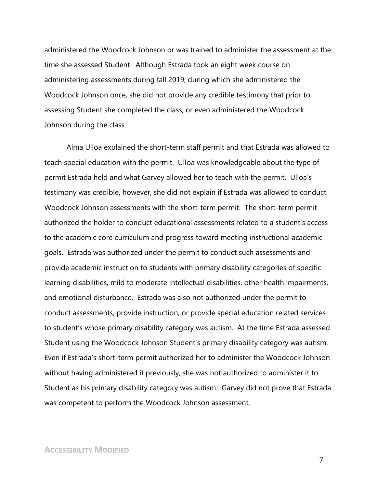administered the Woodcock Johnson or was trained to administer the assessment at the time she assessed Student. Although Estrada took an eight week course on administering assessments during fall 2019, during which she administered the Woodcock Johnson once, she did not provide any credible testimony that prior to assessing Student she completed the class, or even administered the Woodcock Johnson during the class.

Alma Ulloa explained the short-term staff permit and that Estrada was allowed to teach special education with the permit. Ulloa was knowledgeable about the type of permit Estrada held and what Garvey allowed her to teach with the permit. Ulloa's testimony was credible, however, she did not explain if Estrada was allowed to conduct Woodcock Johnson assessments with the short-term permit. The short-term permit authorized the holder to conduct educational assessments related to a student's access to the academic core curriculum and progress toward meeting instructional academic goals. Estrada was authorized under the permit to conduct such assessments and provide academic instruction to students with primary disability categories of specific learning disabilities, mild to moderate intellectual disabilities, other health impairments, and emotional disturbance. Estrada was also not authorized under the permit to conduct assessments, provide instruction, or provide special education related services to student's whose primary disability category was autism. At the time Estrada assessed Student using the Woodcock Johnson Student's primary disability category was autism. Even if Estrada's short-term permit authorized her to administer the Woodcock Johnson without having administered it previously, she was not authorized to administer it to Student as his primary disability category was autism. Garvey did not prove that Estrada was competent to perform the Woodcock Johnson assessment.

#### **ACCESSIBILITY MODIFIED**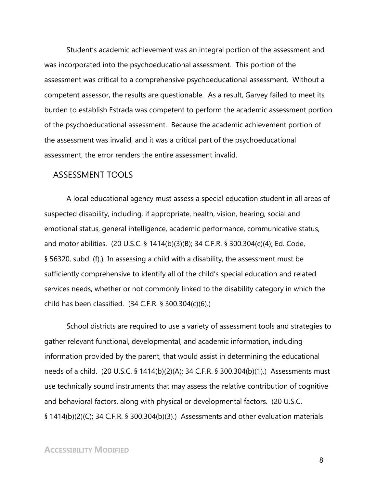Student's academic achievement was an integral portion of the assessment and was incorporated into the psychoeducational assessment. This portion of the assessment was critical to a comprehensive psychoeducational assessment. Without a competent assessor, the results are questionable. As a result, Garvey failed to meet its burden to establish Estrada was competent to perform the academic assessment portion of the psychoeducational assessment. Because the academic achievement portion of the assessment was invalid, and it was a critical part of the psychoeducational assessment, the error renders the entire assessment invalid.

#### ASSESSMENT TOOLS

A local educational agency must assess a special education student in all areas of suspected disability, including, if appropriate, health, vision, hearing, social and emotional status, general intelligence, academic performance, communicative status, and motor abilities. (20 U.S.C. § 1414(b)(3)(B); 34 C.F.R. § 300.304(c)(4); Ed. Code, § 56320, subd. (f).) In assessing a child with a disability, the assessment must be sufficiently comprehensive to identify all of the child's special education and related services needs, whether or not commonly linked to the disability category in which the child has been classified. (34 C.F.R. § 300.304(c)(6).)

School districts are required to use a variety of assessment tools and strategies to gather relevant functional, developmental, and academic information, including information provided by the parent, that would assist in determining the educational needs of a child. (20 U.S.C. § 1414(b)(2)(A); 34 C.F.R. § 300.304(b)(1).) Assessments must use technically sound instruments that may assess the relative contribution of cognitive and behavioral factors, along with physical or developmental factors. (20 U.S.C. § 1414(b)(2)(C); 34 C.F.R. § 300.304(b)(3).) Assessments and other evaluation materials

#### **ACCESSIBILITY MODIFIED**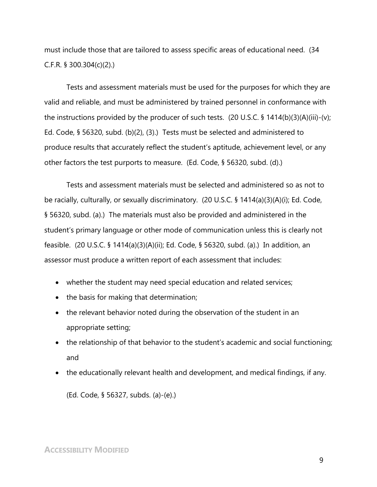must include those that are tailored to assess specific areas of educational need. (34 C.F.R. § 300.304(c)(2).)

Tests and assessment materials must be used for the purposes for which they are valid and reliable, and must be administered by trained personnel in conformance with the instructions provided by the producer of such tests. (20 U.S.C. § 1414(b)(3)(A)(iii)-(v); Ed. Code, § 56320, subd. (b)(2), (3).) Tests must be selected and administered to produce results that accurately reflect the student's aptitude, achievement level, or any other factors the test purports to measure. (Ed. Code, § 56320, subd. (d).)

Tests and assessment materials must be selected and administered so as not to be racially, culturally, or sexually discriminatory. (20 U.S.C. § 1414(a)(3)(A)(i); Ed. Code, § 56320, subd. (a).) The materials must also be provided and administered in the student's primary language or other mode of communication unless this is clearly not feasible. (20 U.S.C. § 1414(a)(3)(A)(ii); Ed. Code, § 56320, subd. (a).) In addition, an assessor must produce a written report of each assessment that includes:

- whether the student may need special education and related services;
- the basis for making that determination;
- the relevant behavior noted during the observation of the student in an appropriate setting;
- the relationship of that behavior to the student's academic and social functioning; and
- the educationally relevant health and development, and medical findings, if any.

(Ed. Code, § 56327, subds. (a)-(e).)

## **ACCESSIBILITY MODIFIED**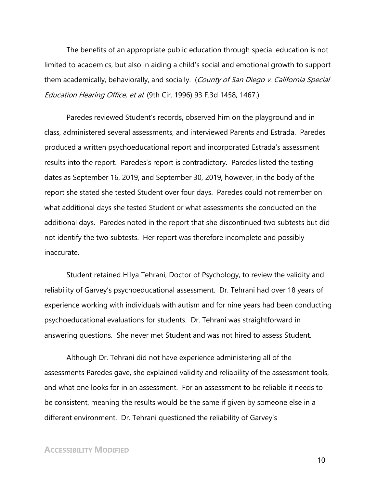The benefits of an appropriate public education through special education is not limited to academics, but also in aiding a child's social and emotional growth to support them academically, behaviorally, and socially. (County of San Diego v. California Special Education Hearing Office, et al. (9th Cir. 1996) 93 F.3d 1458, 1467.)

Paredes reviewed Student's records, observed him on the playground and in class, administered several assessments, and interviewed Parents and Estrada. Paredes produced a written psychoeducational report and incorporated Estrada's assessment results into the report. Paredes's report is contradictory. Paredes listed the testing dates as September 16, 2019, and September 30, 2019, however, in the body of the report she stated she tested Student over four days. Paredes could not remember on what additional days she tested Student or what assessments she conducted on the additional days. Paredes noted in the report that she discontinued two subtests but did not identify the two subtests. Her report was therefore incomplete and possibly inaccurate.

Student retained Hilya Tehrani, Doctor of Psychology, to review the validity and reliability of Garvey's psychoeducational assessment. Dr. Tehrani had over 18 years of experience working with individuals with autism and for nine years had been conducting psychoeducational evaluations for students. Dr. Tehrani was straightforward in answering questions. She never met Student and was not hired to assess Student.

Although Dr. Tehrani did not have experience administering all of the assessments Paredes gave, she explained validity and reliability of the assessment tools, and what one looks for in an assessment. For an assessment to be reliable it needs to be consistent, meaning the results would be the same if given by someone else in a different environment. Dr. Tehrani questioned the reliability of Garvey's

#### **ACCESSIBILITY MODIFIED**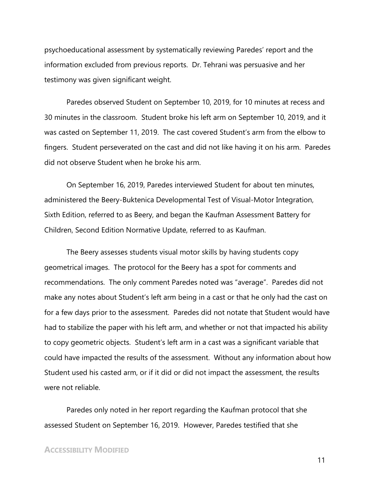psychoeducational assessment by systematically reviewing Paredes' report and the information excluded from previous reports. Dr. Tehrani was persuasive and her testimony was given significant weight.

Paredes observed Student on September 10, 2019, for 10 minutes at recess and 30 minutes in the classroom. Student broke his left arm on September 10, 2019, and it was casted on September 11, 2019. The cast covered Student's arm from the elbow to fingers. Student perseverated on the cast and did not like having it on his arm. Paredes did not observe Student when he broke his arm.

On September 16, 2019, Paredes interviewed Student for about ten minutes, administered the Beery-Buktenica Developmental Test of Visual-Motor Integration, Sixth Edition, referred to as Beery, and began the Kaufman Assessment Battery for Children, Second Edition Normative Update, referred to as Kaufman.

The Beery assesses students visual motor skills by having students copy geometrical images. The protocol for the Beery has a spot for comments and recommendations. The only comment Paredes noted was "average". Paredes did not make any notes about Student's left arm being in a cast or that he only had the cast on for a few days prior to the assessment. Paredes did not notate that Student would have had to stabilize the paper with his left arm, and whether or not that impacted his ability to copy geometric objects. Student's left arm in a cast was a significant variable that could have impacted the results of the assessment. Without any information about how Student used his casted arm, or if it did or did not impact the assessment, the results were not reliable.

Paredes only noted in her report regarding the Kaufman protocol that she assessed Student on September 16, 2019. However, Paredes testified that she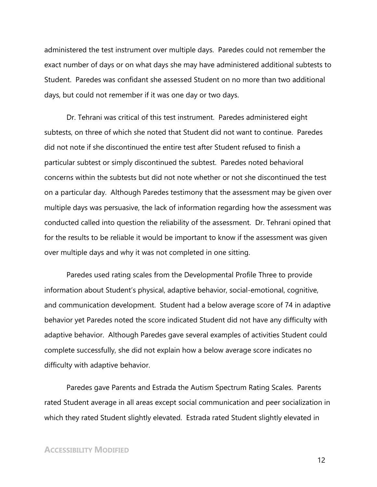administered the test instrument over multiple days. Paredes could not remember the exact number of days or on what days she may have administered additional subtests to Student. Paredes was confidant she assessed Student on no more than two additional days, but could not remember if it was one day or two days.

Dr. Tehrani was critical of this test instrument. Paredes administered eight subtests, on three of which she noted that Student did not want to continue. Paredes did not note if she discontinued the entire test after Student refused to finish a particular subtest or simply discontinued the subtest. Paredes noted behavioral concerns within the subtests but did not note whether or not she discontinued the test on a particular day. Although Paredes testimony that the assessment may be given over multiple days was persuasive, the lack of information regarding how the assessment was conducted called into question the reliability of the assessment. Dr. Tehrani opined that for the results to be reliable it would be important to know if the assessment was given over multiple days and why it was not completed in one sitting.

Paredes used rating scales from the Developmental Profile Three to provide information about Student's physical, adaptive behavior, social-emotional, cognitive, and communication development. Student had a below average score of 74 in adaptive behavior yet Paredes noted the score indicated Student did not have any difficulty with adaptive behavior. Although Paredes gave several examples of activities Student could complete successfully, she did not explain how a below average score indicates no difficulty with adaptive behavior.

Paredes gave Parents and Estrada the Autism Spectrum Rating Scales. Parents rated Student average in all areas except social communication and peer socialization in which they rated Student slightly elevated. Estrada rated Student slightly elevated in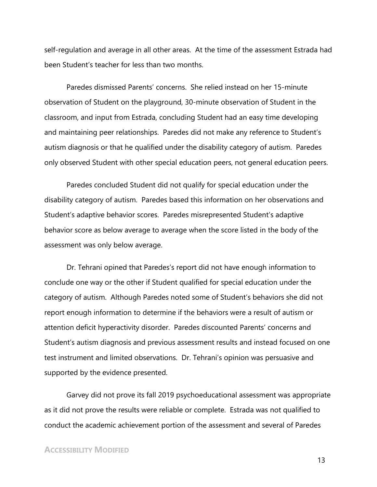self-regulation and average in all other areas. At the time of the assessment Estrada had been Student's teacher for less than two months.

Paredes dismissed Parents' concerns. She relied instead on her 15-minute observation of Student on the playground, 30-minute observation of Student in the classroom, and input from Estrada, concluding Student had an easy time developing and maintaining peer relationships. Paredes did not make any reference to Student's autism diagnosis or that he qualified under the disability category of autism. Paredes only observed Student with other special education peers, not general education peers.

Paredes concluded Student did not qualify for special education under the disability category of autism. Paredes based this information on her observations and Student's adaptive behavior scores. Paredes misrepresented Student's adaptive behavior score as below average to average when the score listed in the body of the assessment was only below average.

Dr. Tehrani opined that Paredes's report did not have enough information to conclude one way or the other if Student qualified for special education under the category of autism. Although Paredes noted some of Student's behaviors she did not report enough information to determine if the behaviors were a result of autism or attention deficit hyperactivity disorder. Paredes discounted Parents' concerns and Student's autism diagnosis and previous assessment results and instead focused on one test instrument and limited observations. Dr. Tehrani's opinion was persuasive and supported by the evidence presented.

Garvey did not prove its fall 2019 psychoeducational assessment was appropriate as it did not prove the results were reliable or complete. Estrada was not qualified to conduct the academic achievement portion of the assessment and several of Paredes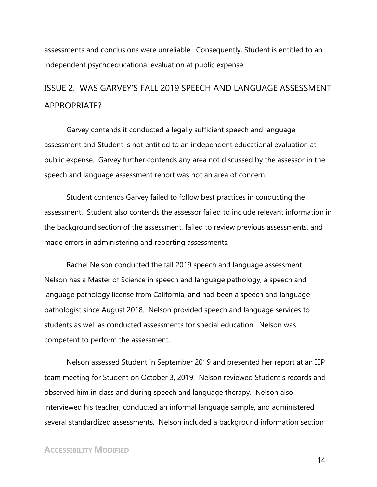assessments and conclusions were unreliable. Consequently, Student is entitled to an independent psychoeducational evaluation at public expense.

# ISSUE 2: WAS GARVEY'S FALL 2019 SPEECH AND LANGUAGE ASSESSMENT APPROPRIATE?

Garvey contends it conducted a legally sufficient speech and language assessment and Student is not entitled to an independent educational evaluation at public expense. Garvey further contends any area not discussed by the assessor in the speech and language assessment report was not an area of concern.

Student contends Garvey failed to follow best practices in conducting the assessment. Student also contends the assessor failed to include relevant information in the background section of the assessment, failed to review previous assessments, and made errors in administering and reporting assessments.

Rachel Nelson conducted the fall 2019 speech and language assessment. Nelson has a Master of Science in speech and language pathology, a speech and language pathology license from California, and had been a speech and language pathologist since August 2018. Nelson provided speech and language services to students as well as conducted assessments for special education. Nelson was competent to perform the assessment.

Nelson assessed Student in September 2019 and presented her report at an IEP team meeting for Student on October 3, 2019. Nelson reviewed Student's records and observed him in class and during speech and language therapy. Nelson also interviewed his teacher, conducted an informal language sample, and administered several standardized assessments. Nelson included a background information section

## **ACCESSIBILITY MODIFIED**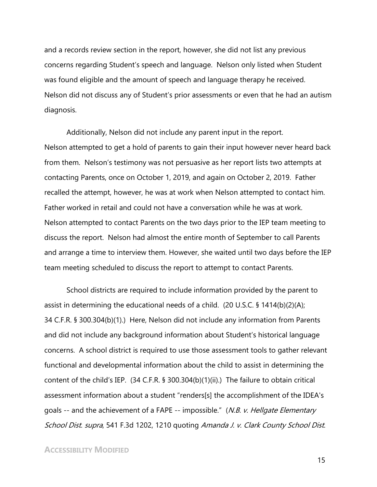and a records review section in the report, however, she did not list any previous concerns regarding Student's speech and language. Nelson only listed when Student was found eligible and the amount of speech and language therapy he received. Nelson did not discuss any of Student's prior assessments or even that he had an autism diagnosis.

Additionally, Nelson did not include any parent input in the report. Nelson attempted to get a hold of parents to gain their input however never heard back from them. Nelson's testimony was not persuasive as her report lists two attempts at contacting Parents, once on October 1, 2019, and again on October 2, 2019. Father recalled the attempt, however, he was at work when Nelson attempted to contact him. Father worked in retail and could not have a conversation while he was at work. Nelson attempted to contact Parents on the two days prior to the IEP team meeting to discuss the report. Nelson had almost the entire month of September to call Parents and arrange a time to interview them. However, she waited until two days before the IEP team meeting scheduled to discuss the report to attempt to contact Parents.

School districts are required to include information provided by the parent to assist in determining the educational needs of a child. (20 U.S.C. § 1414(b)(2)(A); 34 C.F.R. § 300.304(b)(1).) Here, Nelson did not include any information from Parents and did not include any background information about Student's historical language concerns. A school district is required to use those assessment tools to gather relevant functional and developmental information about the child to assist in determining the content of the child's IEP. (34 C.F.R. § 300.304(b)(1)(ii).) The failure to obtain critical assessment information about a student "renders[s] the accomplishment of the IDEA's goals -- and the achievement of a FAPE -- impossible." (N.B. v. Hellgate Elementary School Dist. supra, 541 F.3d 1202, 1210 quoting Amanda J. v. Clark County School Dist.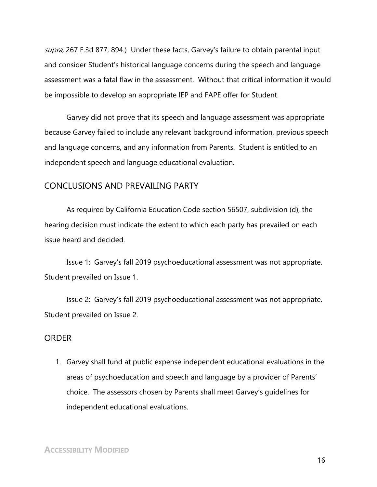supra, 267 F.3d 877, 894.) Under these facts, Garvey's failure to obtain parental input and consider Student's historical language concerns during the speech and language assessment was a fatal flaw in the assessment. Without that critical information it would be impossible to develop an appropriate IEP and FAPE offer for Student.

Garvey did not prove that its speech and language assessment was appropriate because Garvey failed to include any relevant background information, previous speech and language concerns, and any information from Parents. Student is entitled to an independent speech and language educational evaluation.

## CONCLUSIONS AND PREVAILING PARTY

As required by California Education Code section 56507, subdivision (d), the hearing decision must indicate the extent to which each party has prevailed on each issue heard and decided.

Issue 1: Garvey's fall 2019 psychoeducational assessment was not appropriate. Student prevailed on Issue 1.

Issue 2: Garvey's fall 2019 psychoeducational assessment was not appropriate. Student prevailed on Issue 2.

#### ORDER

1. Garvey shall fund at public expense independent educational evaluations in the areas of psychoeducation and speech and language by a provider of Parents' choice. The assessors chosen by Parents shall meet Garvey's guidelines for independent educational evaluations.